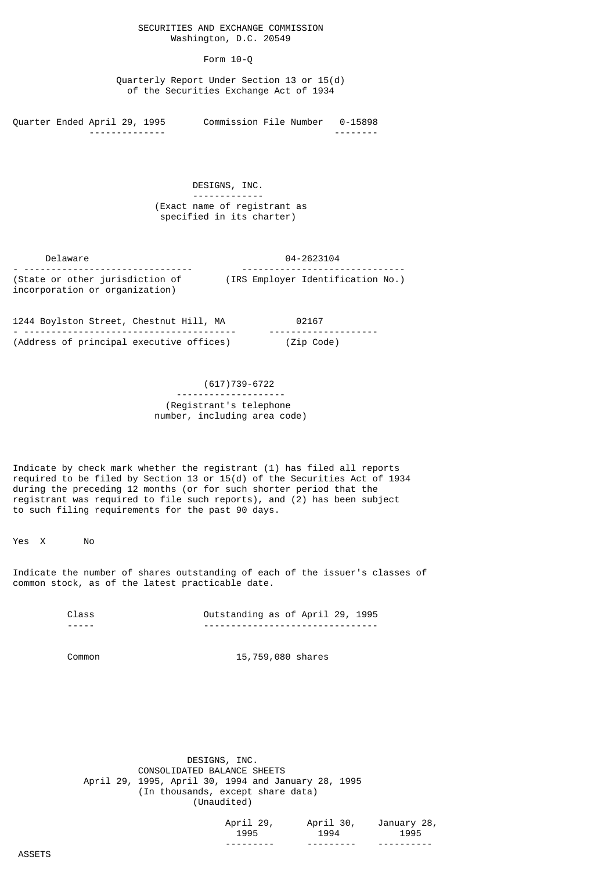### SECURITIES AND EXCHANGE COMMISSION Washington, D.C. 20549

### Form 10-Q

 Quarterly Report Under Section 13 or 15(d) of the Securities Exchange Act of 1934

Quarter Ended April 29, 1995 Commission File Number 0-15898 -------------- --------

> DESIGNS, INC. ------------- (Exact name of registrant as specified in its charter)

 Delaware 04-2623104 - ------------------------------- ------------------------------ (State or other jurisdiction of (IRS Employer Identification No.) incorporation or organization)

1244 Boylston Street, Chestnut Hill, MA 02167 - --------------------------------------- -------------------- (Address of principal executive offices) (Zip Code)

## (617)739-6722 -------------------- (Registrant's telephone number, including area code)

Indicate by check mark whether the registrant (1) has filed all reports required to be filed by Section 13 or 15(d) of the Securities Act of 1934 during the preceding 12 months (or for such shorter period that the registrant was required to file such reports), and (2) has been subject to such filing requirements for the past 90 days.

Yes X No

Indicate the number of shares outstanding of each of the issuer's classes of common stock, as of the latest practicable date.

> Class Outstanding as of April 29, 1995 ----- --------------------------------

Common 15,759,080 shares

 DESIGNS, INC. CONSOLIDATED BALANCE SHEETS April 29, 1995, April 30, 1994 and January 28, 1995 (In thousands, except share data) (Unaudited)

| 29,<br>April<br>1995 | 30,<br>April<br>1994 | January 28,<br>1995 |
|----------------------|----------------------|---------------------|
| ---------            | ---------            | ----------          |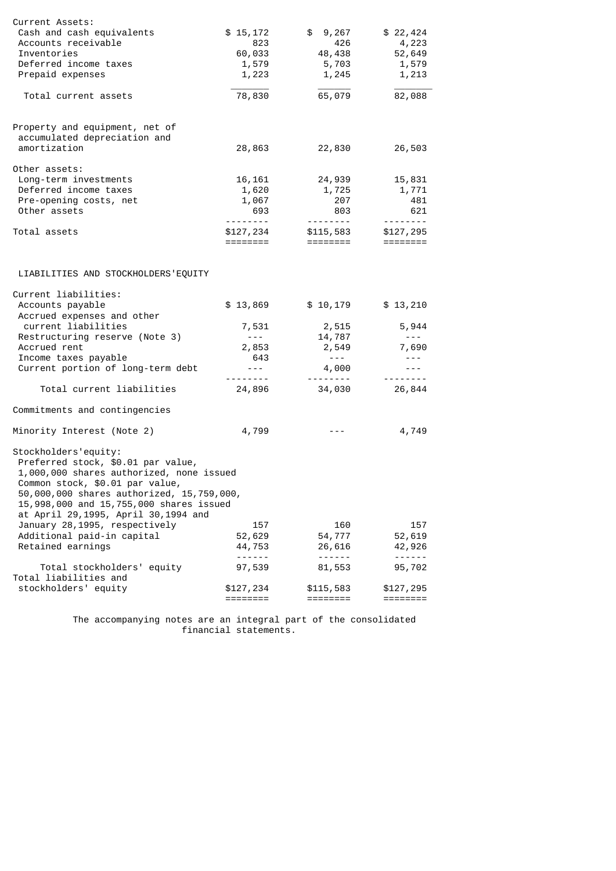| Current Assets:<br>Cash and cash equivalents<br>Accounts receivable<br>Inventories                                                                                                                                                                                       | \$15,172<br>823             | \$9,267<br>426                | \$22,424<br>4,223                                                                                                                                                                                                                                                                                                                                                                                                                                                                                |
|--------------------------------------------------------------------------------------------------------------------------------------------------------------------------------------------------------------------------------------------------------------------------|-----------------------------|-------------------------------|--------------------------------------------------------------------------------------------------------------------------------------------------------------------------------------------------------------------------------------------------------------------------------------------------------------------------------------------------------------------------------------------------------------------------------------------------------------------------------------------------|
| Deferred income taxes                                                                                                                                                                                                                                                    | 60,033<br>1,579             | 48,438<br>5,703               | 52,649<br>1,579                                                                                                                                                                                                                                                                                                                                                                                                                                                                                  |
| Prepaid expenses                                                                                                                                                                                                                                                         | 1,223                       | 1,245                         | 1,213                                                                                                                                                                                                                                                                                                                                                                                                                                                                                            |
|                                                                                                                                                                                                                                                                          |                             |                               |                                                                                                                                                                                                                                                                                                                                                                                                                                                                                                  |
| Total current assets                                                                                                                                                                                                                                                     | 78,830                      | 65,079                        | 82,088                                                                                                                                                                                                                                                                                                                                                                                                                                                                                           |
| Property and equipment, net of                                                                                                                                                                                                                                           |                             |                               |                                                                                                                                                                                                                                                                                                                                                                                                                                                                                                  |
| accumulated depreciation and                                                                                                                                                                                                                                             |                             |                               |                                                                                                                                                                                                                                                                                                                                                                                                                                                                                                  |
| amortization                                                                                                                                                                                                                                                             | 28,863                      | 22,830                        | 26,503                                                                                                                                                                                                                                                                                                                                                                                                                                                                                           |
| Other assets:                                                                                                                                                                                                                                                            |                             |                               |                                                                                                                                                                                                                                                                                                                                                                                                                                                                                                  |
| Long-term investments                                                                                                                                                                                                                                                    | 16,161                      | 24,939                        | 15,831                                                                                                                                                                                                                                                                                                                                                                                                                                                                                           |
| Deferred income taxes                                                                                                                                                                                                                                                    | 1,620                       | 1,725                         | 1,771                                                                                                                                                                                                                                                                                                                                                                                                                                                                                            |
| Pre-opening costs, net                                                                                                                                                                                                                                                   | 1,067                       | 207                           | 481                                                                                                                                                                                                                                                                                                                                                                                                                                                                                              |
| Other assets                                                                                                                                                                                                                                                             | 693                         | 803                           | 621                                                                                                                                                                                                                                                                                                                                                                                                                                                                                              |
| Total assets                                                                                                                                                                                                                                                             | \$127,234                   | <u> 22222220</u><br>\$115,583 | --------<br>\$127,295                                                                                                                                                                                                                                                                                                                                                                                                                                                                            |
|                                                                                                                                                                                                                                                                          | ========                    | ========                      |                                                                                                                                                                                                                                                                                                                                                                                                                                                                                                  |
|                                                                                                                                                                                                                                                                          |                             |                               |                                                                                                                                                                                                                                                                                                                                                                                                                                                                                                  |
| LIABILITIES AND STOCKHOLDERS'EQUITY                                                                                                                                                                                                                                      |                             |                               |                                                                                                                                                                                                                                                                                                                                                                                                                                                                                                  |
| Current liabilities:                                                                                                                                                                                                                                                     |                             |                               |                                                                                                                                                                                                                                                                                                                                                                                                                                                                                                  |
| Accounts payable<br>Accrued expenses and other                                                                                                                                                                                                                           | \$13,869                    | \$10,179                      | \$13,210                                                                                                                                                                                                                                                                                                                                                                                                                                                                                         |
| current liabilities                                                                                                                                                                                                                                                      | 7,531                       | 2,515                         | 5,944                                                                                                                                                                                                                                                                                                                                                                                                                                                                                            |
| Restructuring reserve (Note 3)                                                                                                                                                                                                                                           | $\sim$ $\sim$ $\sim$ $\sim$ | 14,787                        | $- - - -$                                                                                                                                                                                                                                                                                                                                                                                                                                                                                        |
| Accrued rent                                                                                                                                                                                                                                                             | 2,853                       | 2,549                         | 7,690                                                                                                                                                                                                                                                                                                                                                                                                                                                                                            |
| Income taxes payable                                                                                                                                                                                                                                                     | 643                         | $\sim$ $  \sim$               | $- - - -$                                                                                                                                                                                                                                                                                                                                                                                                                                                                                        |
| Current portion of long-term debt                                                                                                                                                                                                                                        | $- - -$                     | 4,000                         | $\sim$ $\sim$ $\sim$                                                                                                                                                                                                                                                                                                                                                                                                                                                                             |
| Total current liabilities                                                                                                                                                                                                                                                | 24,896                      | ---------<br>34,030           | $\begin{array}{cccccccccccccc} \multicolumn{2}{c}{} & \multicolumn{2}{c}{} & \multicolumn{2}{c}{} & \multicolumn{2}{c}{} & \multicolumn{2}{c}{} & \multicolumn{2}{c}{} & \multicolumn{2}{c}{} & \multicolumn{2}{c}{} & \multicolumn{2}{c}{} & \multicolumn{2}{c}{} & \multicolumn{2}{c}{} & \multicolumn{2}{c}{} & \multicolumn{2}{c}{} & \multicolumn{2}{c}{} & \multicolumn{2}{c}{} & \multicolumn{2}{c}{} & \multicolumn{2}{c}{} & \multicolumn{2}{c}{} & \multicolumn{2}{c}{} & \$<br>26,844 |
| Commitments and contingencies                                                                                                                                                                                                                                            |                             |                               |                                                                                                                                                                                                                                                                                                                                                                                                                                                                                                  |
| Minority Interest (Note 2)                                                                                                                                                                                                                                               | 4,799                       |                               | 4,749                                                                                                                                                                                                                                                                                                                                                                                                                                                                                            |
| Stockholders'equity:<br>Preferred stock, \$0.01 par value,<br>1,000,000 shares authorized, none issued<br>Common stock, \$0.01 par value,<br>50,000,000 shares authorized, 15,759,000,<br>15,998,000 and 15,755,000 shares issued<br>at April 29,1995, April 30,1994 and |                             |                               |                                                                                                                                                                                                                                                                                                                                                                                                                                                                                                  |
| January 28,1995, respectively                                                                                                                                                                                                                                            | 157                         | 160                           | 157                                                                                                                                                                                                                                                                                                                                                                                                                                                                                              |
| Additional paid-in capital                                                                                                                                                                                                                                               | 52,629                      | 54,777                        | 52,619                                                                                                                                                                                                                                                                                                                                                                                                                                                                                           |
| Retained earnings                                                                                                                                                                                                                                                        | 44,753                      | 26,616                        | 42,926                                                                                                                                                                                                                                                                                                                                                                                                                                                                                           |
|                                                                                                                                                                                                                                                                          | - - - -                     | ------                        | $\frac{1}{2}$                                                                                                                                                                                                                                                                                                                                                                                                                                                                                    |
| Total stockholders' equity<br>Total liabilities and                                                                                                                                                                                                                      | 97,539                      | 81,553                        | 95,702                                                                                                                                                                                                                                                                                                                                                                                                                                                                                           |
| stockholders' equity                                                                                                                                                                                                                                                     | \$127,234<br>=======        | \$115,583<br>========         | \$127,295<br>========                                                                                                                                                                                                                                                                                                                                                                                                                                                                            |

 The accompanying notes are an integral part of the consolidated financial statements.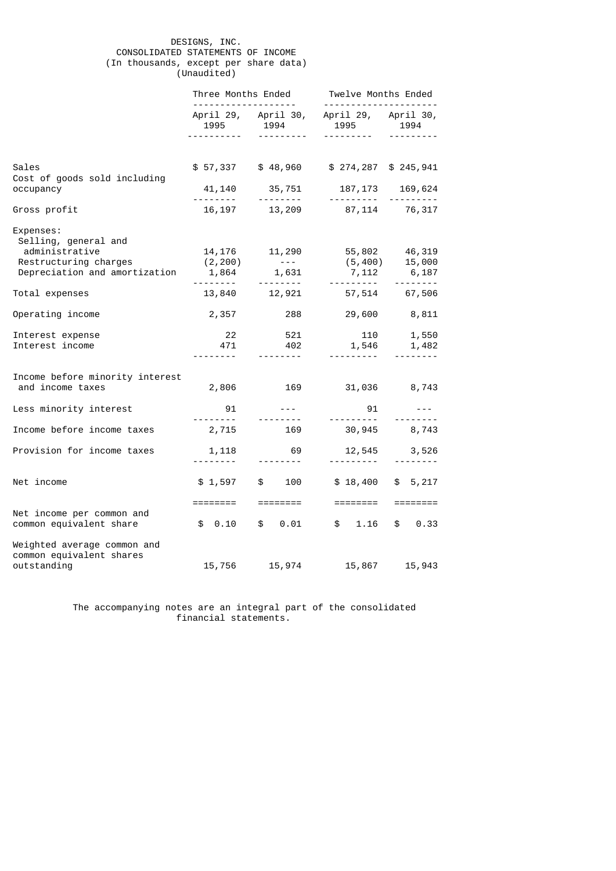## DESIGNS, INC. CONSOLIDATED STATEMENTS OF INCOME (In thousands, except per share data) (Unaudited)

|                                                                                                               | Three Months Ended          |                                                                                                                                                                                                                                                                                                                                                                                                                                                                                          | Twelve Months Ended<br>-------------------                                 |                                                                                                                                                                                                                                                                                                                                                                                                                                                                                                         |
|---------------------------------------------------------------------------------------------------------------|-----------------------------|------------------------------------------------------------------------------------------------------------------------------------------------------------------------------------------------------------------------------------------------------------------------------------------------------------------------------------------------------------------------------------------------------------------------------------------------------------------------------------------|----------------------------------------------------------------------------|---------------------------------------------------------------------------------------------------------------------------------------------------------------------------------------------------------------------------------------------------------------------------------------------------------------------------------------------------------------------------------------------------------------------------------------------------------------------------------------------------------|
|                                                                                                               | <u> - - - - - - - - - -</u> |                                                                                                                                                                                                                                                                                                                                                                                                                                                                                          | April 29, April 30, April 29, April 30,<br>1995 1994 1995 1994<br><u>.</u> | <u>.</u>                                                                                                                                                                                                                                                                                                                                                                                                                                                                                                |
|                                                                                                               |                             |                                                                                                                                                                                                                                                                                                                                                                                                                                                                                          |                                                                            |                                                                                                                                                                                                                                                                                                                                                                                                                                                                                                         |
| Sales<br>Cost of goods sold including                                                                         |                             |                                                                                                                                                                                                                                                                                                                                                                                                                                                                                          | \$57,337 \$48,960 \$274,287 \$245,941                                      |                                                                                                                                                                                                                                                                                                                                                                                                                                                                                                         |
| occupancy                                                                                                     | 41,140                      |                                                                                                                                                                                                                                                                                                                                                                                                                                                                                          | $35,751$ $187,173$<br>187, 173                                             | 169,624<br><u> - - - - - - - - -</u>                                                                                                                                                                                                                                                                                                                                                                                                                                                                    |
| Gross profit                                                                                                  |                             |                                                                                                                                                                                                                                                                                                                                                                                                                                                                                          | 16, 197 13, 209 87, 114 76, 317                                            |                                                                                                                                                                                                                                                                                                                                                                                                                                                                                                         |
| Expenses:<br>Selling, general and<br>administrative<br>Restructuring charges<br>Depreciation and amortization | (2, 200)                    | 14, 176 11, 290<br>$\mathcal{L}_{\mathcal{A}}$ , and $\mathcal{L}_{\mathcal{A}}$ , and $\mathcal{L}_{\mathcal{A}}$<br>1,864 1,631                                                                                                                                                                                                                                                                                                                                                        |                                                                            | 55,802        46,319<br>(5,400)      15,000<br>7,112 6,187                                                                                                                                                                                                                                                                                                                                                                                                                                              |
| Total expenses                                                                                                |                             | <u> - - - - - - - - -</u><br>13,840 12,921                                                                                                                                                                                                                                                                                                                                                                                                                                               | <b></b>                                                                    | $\begin{array}{cccccccccccccc} \multicolumn{2}{c}{} & \multicolumn{2}{c}{} & \multicolumn{2}{c}{} & \multicolumn{2}{c}{} & \multicolumn{2}{c}{} & \multicolumn{2}{c}{} & \multicolumn{2}{c}{} & \multicolumn{2}{c}{} & \multicolumn{2}{c}{} & \multicolumn{2}{c}{} & \multicolumn{2}{c}{} & \multicolumn{2}{c}{} & \multicolumn{2}{c}{} & \multicolumn{2}{c}{} & \multicolumn{2}{c}{} & \multicolumn{2}{c}{} & \multicolumn{2}{c}{} & \multicolumn{2}{c}{} & \multicolumn{2}{c}{} & \$<br>57,514 67,506 |
| Operating income                                                                                              | 2,357                       | 288 — 10                                                                                                                                                                                                                                                                                                                                                                                                                                                                                 |                                                                            | 29,600 8,811                                                                                                                                                                                                                                                                                                                                                                                                                                                                                            |
| Interest expense<br>Interest income                                                                           | 22<br>471                   | 521<br>402<br>$\frac{1}{2} \left( \frac{1}{2} \right) \left( \frac{1}{2} \right) \left( \frac{1}{2} \right) \left( \frac{1}{2} \right) \left( \frac{1}{2} \right) \left( \frac{1}{2} \right) \left( \frac{1}{2} \right) \left( \frac{1}{2} \right) \left( \frac{1}{2} \right) \left( \frac{1}{2} \right) \left( \frac{1}{2} \right) \left( \frac{1}{2} \right) \left( \frac{1}{2} \right) \left( \frac{1}{2} \right) \left( \frac{1}{2} \right) \left( \frac{1}{2} \right) \left( \frac$ | $110$ $1,550$<br>$1,546$ $1,482$                                           | <u> - - - - - - - -</u>                                                                                                                                                                                                                                                                                                                                                                                                                                                                                 |
| Income before minority interest<br>and income taxes                                                           | 2,806                       |                                                                                                                                                                                                                                                                                                                                                                                                                                                                                          | 169 31,036 8,743                                                           |                                                                                                                                                                                                                                                                                                                                                                                                                                                                                                         |
| Less minority interest                                                                                        | 91                          |                                                                                                                                                                                                                                                                                                                                                                                                                                                                                          | 91                                                                         | $\frac{1}{2} \frac{1}{2} \frac{1}{2} \frac{1}{2} \frac{1}{2} \frac{1}{2} \frac{1}{2} \frac{1}{2} \frac{1}{2} \frac{1}{2} \frac{1}{2} \frac{1}{2} \frac{1}{2} \frac{1}{2} \frac{1}{2} \frac{1}{2} \frac{1}{2} \frac{1}{2} \frac{1}{2} \frac{1}{2} \frac{1}{2} \frac{1}{2} \frac{1}{2} \frac{1}{2} \frac{1}{2} \frac{1}{2} \frac{1}{2} \frac{1}{2} \frac{1}{2} \frac{1}{2} \frac{1}{2} \frac{$<br><u> - - - - - - - -</u>                                                                                 |
| Income before income taxes                                                                                    | 2,715                       | <u> - - - - - - - - -</u><br>169                                                                                                                                                                                                                                                                                                                                                                                                                                                         |                                                                            | $30,945$ 8,743                                                                                                                                                                                                                                                                                                                                                                                                                                                                                          |
| Provision for income taxes                                                                                    | 1,118                       | 69<br><u> - - - - - - - -</u>                                                                                                                                                                                                                                                                                                                                                                                                                                                            | 12,545<br><u>.</u>                                                         | 3,526                                                                                                                                                                                                                                                                                                                                                                                                                                                                                                   |
| Net income                                                                                                    | $$1,597$ \$                 |                                                                                                                                                                                                                                                                                                                                                                                                                                                                                          | 100 \$ 18,400 \$ 5,217                                                     |                                                                                                                                                                                                                                                                                                                                                                                                                                                                                                         |
| Net income per common and                                                                                     |                             | ========  ========                                                                                                                                                                                                                                                                                                                                                                                                                                                                       |                                                                            |                                                                                                                                                                                                                                                                                                                                                                                                                                                                                                         |
| common equivalent share                                                                                       |                             | $$0.10$ \$ 0.01                                                                                                                                                                                                                                                                                                                                                                                                                                                                          |                                                                            | $$1.16$ \$ 0.33                                                                                                                                                                                                                                                                                                                                                                                                                                                                                         |
| Weighted average common and<br>common equivalent shares<br>outstanding                                        |                             |                                                                                                                                                                                                                                                                                                                                                                                                                                                                                          | 15,756 15,974 15,867 15,943                                                |                                                                                                                                                                                                                                                                                                                                                                                                                                                                                                         |

 The accompanying notes are an integral part of the consolidated financial statements.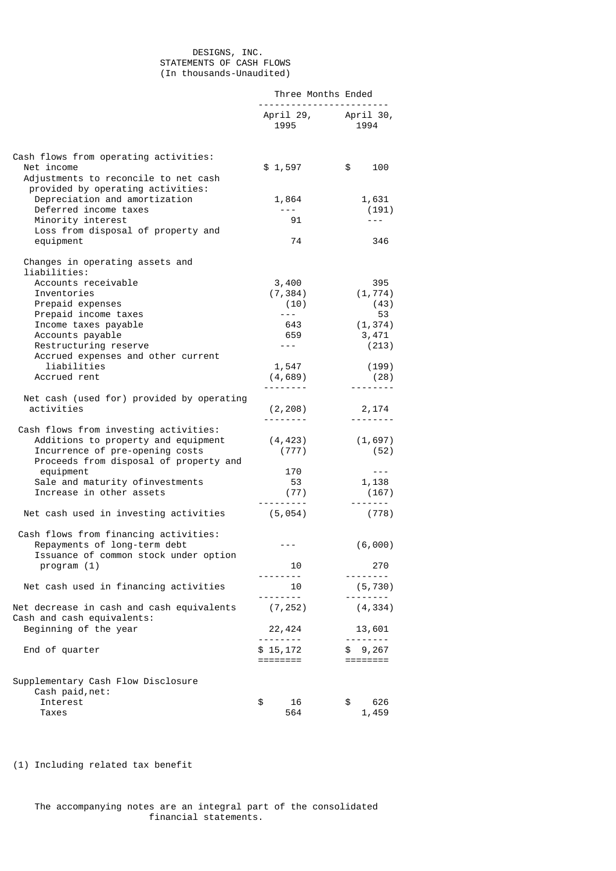## DESIGNS, INC. STATEMENTS OF CASH FLOWS (In thousands-Unaudited)

|                                                                                                                                                           | Three Months Ended     |                             |  |
|-----------------------------------------------------------------------------------------------------------------------------------------------------------|------------------------|-----------------------------|--|
|                                                                                                                                                           | 1995                   | April 29, April 30,<br>1994 |  |
| Cash flows from operating activities:<br>Net income<br>Adjustments to reconcile to net cash                                                               | \$1,597                | \$<br>100                   |  |
| provided by operating activities:<br>Depreciation and amortization<br>Deferred income taxes<br>Minority interest                                          | 1,864<br>$- - -$<br>91 | 1,631<br>(191)<br>$- - -$   |  |
| Loss from disposal of property and<br>equipment                                                                                                           | 74                     | 346                         |  |
| Changes in operating assets and<br>liabilities:<br>Accounts receivable                                                                                    |                        | 395                         |  |
| Inventories                                                                                                                                               | 3,400<br>(7, 384)      | (1, 774)                    |  |
| Prepaid expenses                                                                                                                                          | (10)                   | (43)                        |  |
| Prepaid income taxes                                                                                                                                      | $- - -$                | 53                          |  |
| Income taxes payable                                                                                                                                      | 643                    | (1, 374)                    |  |
| Accounts payable                                                                                                                                          | 659                    | 3,471                       |  |
| Restructuring reserve                                                                                                                                     | $- - -$                | (213)                       |  |
| Accrued expenses and other current                                                                                                                        |                        |                             |  |
| liabilities                                                                                                                                               | 1,547                  | (199)                       |  |
| Accrued rent                                                                                                                                              | (4,689)                | (28)                        |  |
|                                                                                                                                                           |                        | <u>.</u>                    |  |
| Net cash (used for) provided by operating<br>activities                                                                                                   |                        |                             |  |
|                                                                                                                                                           | (2, 208)               | 2,174<br><u>.</u>           |  |
| Cash flows from investing activities:<br>Additions to property and equipment<br>Incurrence of pre-opening costs<br>Proceeds from disposal of property and | (4, 423)<br>(777)      | (1,697)<br>(52)             |  |
| equipment                                                                                                                                                 | 170                    | $\sim$ $\sim$ $\sim$        |  |
| Sale and maturity ofinvestments                                                                                                                           | 53                     | 1,138                       |  |
| Increase in other assets                                                                                                                                  | (77)                   | (167)                       |  |
| Net cash used in investing activities                                                                                                                     | (5,054)                | -------<br>(778)            |  |
| Cash flows from financing activities:<br>Repayments of long-term debt<br>Issuance of common stock under option                                            | $- - -$                | (6,000)                     |  |
| program (1)                                                                                                                                               | 10                     | 270                         |  |
|                                                                                                                                                           |                        |                             |  |
| Net cash used in financing activities                                                                                                                     | 10<br>.                | (5, 730)                    |  |
| Net decrease in cash and cash equivalents<br>Cash and cash equivalents:                                                                                   | (7, 252)               | (4, 334)                    |  |
| Beginning of the year                                                                                                                                     | 22,424<br>.            | 13,601                      |  |
| End of quarter                                                                                                                                            | \$15,172<br>========   | \$9,267                     |  |
| Supplementary Cash Flow Disclosure                                                                                                                        |                        |                             |  |
| Cash paid, net:                                                                                                                                           |                        |                             |  |
| Interest<br>Taxes                                                                                                                                         | \$<br>16<br>564        | \$<br>626<br>1,459          |  |

(1) Including related tax benefit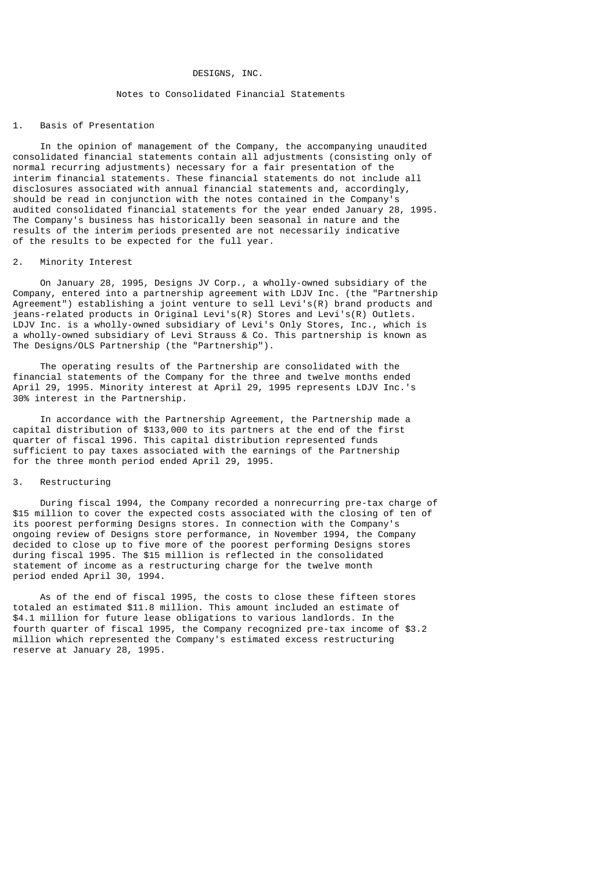## DESIGNS, INC.

## Notes to Consolidated Financial Statements

### 1. Basis of Presentation

 In the opinion of management of the Company, the accompanying unaudited consolidated financial statements contain all adjustments (consisting only of normal recurring adjustments) necessary for a fair presentation of the interim financial statements. These financial statements do not include all disclosures associated with annual financial statements and, accordingly, should be read in conjunction with the notes contained in the Company's audited consolidated financial statements for the year ended January 28, 1995. The Company's business has historically been seasonal in nature and the results of the interim periods presented are not necessarily indicative of the results to be expected for the full year.

## 2. Minority Interest

 On January 28, 1995, Designs JV Corp., a wholly-owned subsidiary of the Company, entered into a partnership agreement with LDJV Inc. (the "Partnership Agreement") establishing a joint venture to sell Levi's(R) brand products and jeans-related products in Original Levi's(R) Stores and Levi's(R) Outlets. LDJV Inc. is a wholly-owned subsidiary of Levi's Only Stores, Inc., which is a wholly-owned subsidiary of Levi Strauss & Co. This partnership is known as The Designs/OLS Partnership (the "Partnership").

 The operating results of the Partnership are consolidated with the financial statements of the Company for the three and twelve months ended April 29, 1995. Minority interest at April 29, 1995 represents LDJV Inc.'s 30% interest in the Partnership.

 In accordance with the Partnership Agreement, the Partnership made a capital distribution of \$133,000 to its partners at the end of the first quarter of fiscal 1996. This capital distribution represented funds sufficient to pay taxes associated with the earnings of the Partnership for the three month period ended April 29, 1995.

## 3. Restructuring

 During fiscal 1994, the Company recorded a nonrecurring pre-tax charge of \$15 million to cover the expected costs associated with the closing of ten of its poorest performing Designs stores. In connection with the Company's ongoing review of Designs store performance, in November 1994, the Company decided to close up to five more of the poorest performing Designs stores during fiscal 1995. The \$15 million is reflected in the consolidated statement of income as a restructuring charge for the twelve month period ended April 30, 1994.

 As of the end of fiscal 1995, the costs to close these fifteen stores totaled an estimated \$11.8 million. This amount included an estimate of \$4.1 million for future lease obligations to various landlords. In the fourth quarter of fiscal 1995, the Company recognized pre-tax income of \$3.2 million which represented the Company's estimated excess restructuring reserve at January 28, 1995.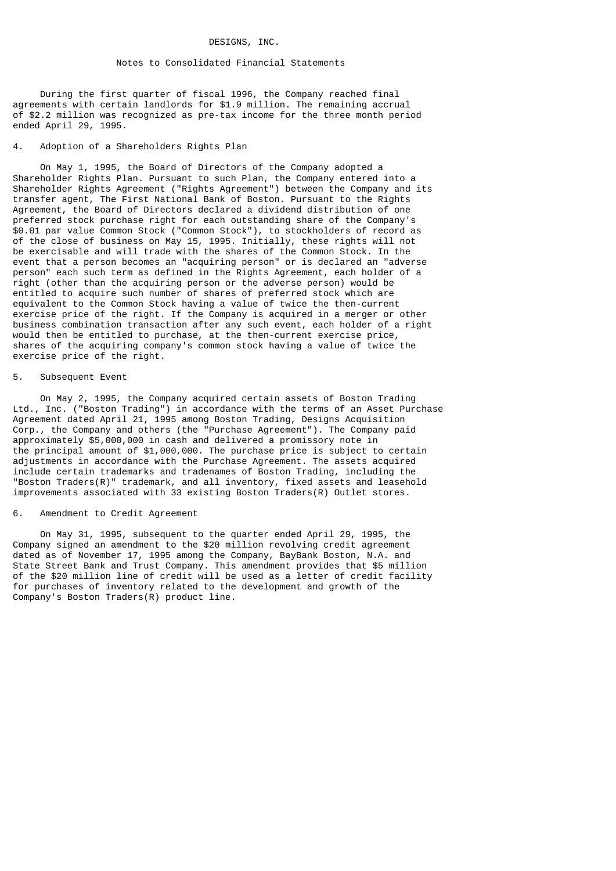### DESIGNS, INC.

## Notes to Consolidated Financial Statements

 During the first quarter of fiscal 1996, the Company reached final agreements with certain landlords for \$1.9 million. The remaining accrual of \$2.2 million was recognized as pre-tax income for the three month period ended April 29, 1995.

# 4. Adoption of a Shareholders Rights Plan

 On May 1, 1995, the Board of Directors of the Company adopted a Shareholder Rights Plan. Pursuant to such Plan, the Company entered into a Shareholder Rights Agreement ("Rights Agreement") between the Company and its transfer agent, The First National Bank of Boston. Pursuant to the Rights Agreement, the Board of Directors declared a dividend distribution of one preferred stock purchase right for each outstanding share of the Company's \$0.01 par value Common Stock ("Common Stock"), to stockholders of record as of the close of business on May 15, 1995. Initially, these rights will not be exercisable and will trade with the shares of the Common Stock. In the event that a person becomes an "acquiring person" or is declared an "adverse person" each such term as defined in the Rights Agreement, each holder of a right (other than the acquiring person or the adverse person) would be entitled to acquire such number of shares of preferred stock which are equivalent to the Common Stock having a value of twice the then-current exercise price of the right. If the Company is acquired in a merger or other business combination transaction after any such event, each holder of a right would then be entitled to purchase, at the then-current exercise price, shares of the acquiring company's common stock having a value of twice the exercise price of the right.

#### 5. Subsequent Event

 On May 2, 1995, the Company acquired certain assets of Boston Trading Ltd., Inc. ("Boston Trading") in accordance with the terms of an Asset Purchase Agreement dated April 21, 1995 among Boston Trading, Designs Acquisition Corp., the Company and others (the "Purchase Agreement"). The Company paid approximately \$5,000,000 in cash and delivered a promissory note in the principal amount of \$1,000,000. The purchase price is subject to certain adjustments in accordance with the Purchase Agreement. The assets acquired include certain trademarks and tradenames of Boston Trading, including the "Boston Traders(R)" trademark, and all inventory, fixed assets and leasehold improvements associated with 33 existing Boston Traders(R) Outlet stores.

## 6. Amendment to Credit Agreement

 On May 31, 1995, subsequent to the quarter ended April 29, 1995, the Company signed an amendment to the \$20 million revolving credit agreement dated as of November 17, 1995 among the Company, BayBank Boston, N.A. and State Street Bank and Trust Company. This amendment provides that \$5 million of the \$20 million line of credit will be used as a letter of credit facility for purchases of inventory related to the development and growth of the Company's Boston Traders(R) product line.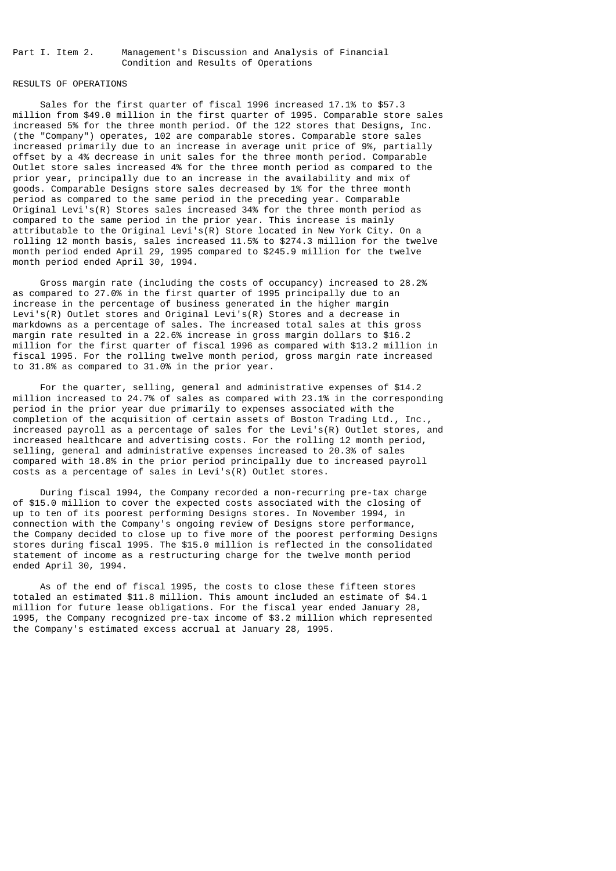Part I. Item 2. Management's Discussion and Analysis of Financial Condition and Results of Operations

### RESULTS OF OPERATIONS

 Sales for the first quarter of fiscal 1996 increased 17.1% to \$57.3 million from \$49.0 million in the first quarter of 1995. Comparable store sales increased 5% for the three month period. Of the 122 stores that Designs, Inc. (the "Company") operates, 102 are comparable stores. Comparable store sales increased primarily due to an increase in average unit price of 9%, partially offset by a 4% decrease in unit sales for the three month period. Comparable Outlet store sales increased 4% for the three month period as compared to the prior year, principally due to an increase in the availability and mix of goods. Comparable Designs store sales decreased by 1% for the three month period as compared to the same period in the preceding year. Comparable Original Levi's(R) Stores sales increased 34% for the three month period as compared to the same period in the prior year. This increase is mainly attributable to the Original Levi's(R) Store located in New York City. On a rolling 12 month basis, sales increased 11.5% to \$274.3 million for the twelve month period ended April 29, 1995 compared to \$245.9 million for the twelve month period ended April 30, 1994.

 Gross margin rate (including the costs of occupancy) increased to 28.2% as compared to 27.0% in the first quarter of 1995 principally due to an increase in the percentage of business generated in the higher margin Levi's(R) Outlet stores and Original Levi's(R) Stores and a decrease in markdowns as a percentage of sales. The increased total sales at this gross margin rate resulted in a 22.6% increase in gross margin dollars to \$16.2 million for the first quarter of fiscal 1996 as compared with \$13.2 million in fiscal 1995. For the rolling twelve month period, gross margin rate increased to 31.8% as compared to 31.0% in the prior year.

 For the quarter, selling, general and administrative expenses of \$14.2 million increased to 24.7% of sales as compared with 23.1% in the corresponding period in the prior year due primarily to expenses associated with the completion of the acquisition of certain assets of Boston Trading Ltd., Inc., increased payroll as a percentage of sales for the Levi's(R) Outlet stores, and increased healthcare and advertising costs. For the rolling 12 month period, selling, general and administrative expenses increased to 20.3% of sales compared with 18.8% in the prior period principally due to increased payroll costs as a percentage of sales in Levi's(R) Outlet stores.

 During fiscal 1994, the Company recorded a non-recurring pre-tax charge of \$15.0 million to cover the expected costs associated with the closing of up to ten of its poorest performing Designs stores. In November 1994, in connection with the Company's ongoing review of Designs store performance, the Company decided to close up to five more of the poorest performing Designs stores during fiscal 1995. The \$15.0 million is reflected in the consolidated statement of income as a restructuring charge for the twelve month period ended April 30, 1994.

 As of the end of fiscal 1995, the costs to close these fifteen stores totaled an estimated \$11.8 million. This amount included an estimate of \$4.1 million for future lease obligations. For the fiscal year ended January 28, 1995, the Company recognized pre-tax income of \$3.2 million which represented the Company's estimated excess accrual at January 28, 1995.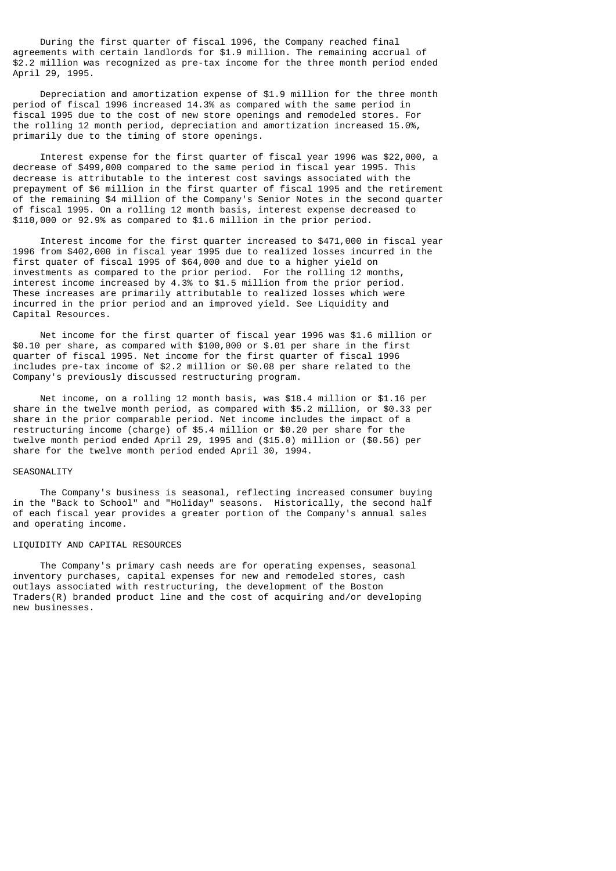During the first quarter of fiscal 1996, the Company reached final agreements with certain landlords for \$1.9 million. The remaining accrual of \$2.2 million was recognized as pre-tax income for the three month period ended April 29, 1995.

 Depreciation and amortization expense of \$1.9 million for the three month period of fiscal 1996 increased 14.3% as compared with the same period in fiscal 1995 due to the cost of new store openings and remodeled stores. For the rolling 12 month period, depreciation and amortization increased 15.0%, primarily due to the timing of store openings.

 Interest expense for the first quarter of fiscal year 1996 was \$22,000, a decrease of \$499,000 compared to the same period in fiscal year 1995. This decrease is attributable to the interest cost savings associated with the prepayment of \$6 million in the first quarter of fiscal 1995 and the retirement of the remaining \$4 million of the Company's Senior Notes in the second quarter of fiscal 1995. On a rolling 12 month basis, interest expense decreased to \$110,000 or 92.9% as compared to \$1.6 million in the prior period.

 Interest income for the first quarter increased to \$471,000 in fiscal year 1996 from \$402,000 in fiscal year 1995 due to realized losses incurred in the first quater of fiscal 1995 of \$64,000 and due to a higher yield on investments as compared to the prior period. For the rolling 12 months, interest income increased by 4.3% to \$1.5 million from the prior period. These increases are primarily attributable to realized losses which were incurred in the prior period and an improved yield. See Liquidity and Capital Resources.

 Net income for the first quarter of fiscal year 1996 was \$1.6 million or \$0.10 per share, as compared with \$100,000 or \$.01 per share in the first quarter of fiscal 1995. Net income for the first quarter of fiscal 1996 includes pre-tax income of \$2.2 million or \$0.08 per share related to the Company's previously discussed restructuring program.

 Net income, on a rolling 12 month basis, was \$18.4 million or \$1.16 per share in the twelve month period, as compared with \$5.2 million, or \$0.33 per share in the prior comparable period. Net income includes the impact of a restructuring income (charge) of \$5.4 million or \$0.20 per share for the twelve month period ended April 29, 1995 and (\$15.0) million or (\$0.56) per share for the twelve month period ended April 30, 1994.

## SEASONALITY

 The Company's business is seasonal, reflecting increased consumer buying in the "Back to School" and "Holiday" seasons. Historically, the second half of each fiscal year provides a greater portion of the Company's annual sales and operating income.

## LIQUIDITY AND CAPITAL RESOURCES

 The Company's primary cash needs are for operating expenses, seasonal inventory purchases, capital expenses for new and remodeled stores, cash outlays associated with restructuring, the development of the Boston Traders(R) branded product line and the cost of acquiring and/or developing new businesses.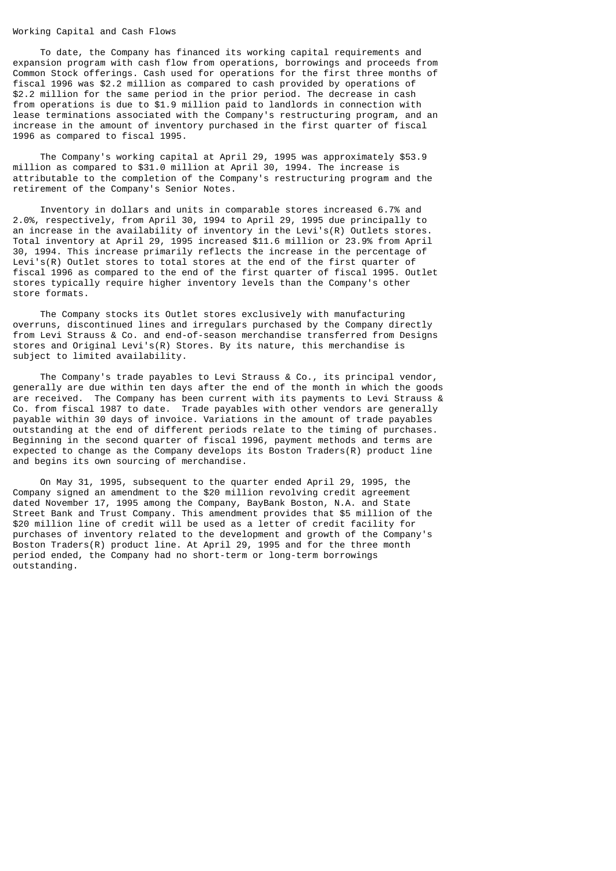### Working Capital and Cash Flows

 To date, the Company has financed its working capital requirements and expansion program with cash flow from operations, borrowings and proceeds from Common Stock offerings. Cash used for operations for the first three months of fiscal 1996 was \$2.2 million as compared to cash provided by operations of \$2.2 million for the same period in the prior period. The decrease in cash from operations is due to \$1.9 million paid to landlords in connection with lease terminations associated with the Company's restructuring program, and an increase in the amount of inventory purchased in the first quarter of fiscal 1996 as compared to fiscal 1995.

 The Company's working capital at April 29, 1995 was approximately \$53.9 million as compared to \$31.0 million at April 30, 1994. The increase is attributable to the completion of the Company's restructuring program and the retirement of the Company's Senior Notes.

 Inventory in dollars and units in comparable stores increased 6.7% and 2.0%, respectively, from April 30, 1994 to April 29, 1995 due principally to an increase in the availability of inventory in the Levi's(R) Outlets stores. Total inventory at April 29, 1995 increased \$11.6 million or 23.9% from April 30, 1994. This increase primarily reflects the increase in the percentage of Levi's(R) Outlet stores to total stores at the end of the first quarter of fiscal 1996 as compared to the end of the first quarter of fiscal 1995. Outlet stores typically require higher inventory levels than the Company's other store formats.

 The Company stocks its Outlet stores exclusively with manufacturing overruns, discontinued lines and irregulars purchased by the Company directly from Levi Strauss & Co. and end-of-season merchandise transferred from Designs stores and Original Levi's(R) Stores. By its nature, this merchandise is subject to limited availability.

 The Company's trade payables to Levi Strauss & Co., its principal vendor, generally are due within ten days after the end of the month in which the goods are received. The Company has been current with its payments to Levi Strauss & Co. from fiscal 1987 to date. Trade payables with other vendors are generally payable within 30 days of invoice. Variations in the amount of trade payables outstanding at the end of different periods relate to the timing of purchases. Beginning in the second quarter of fiscal 1996, payment methods and terms are expected to change as the Company develops its Boston Traders(R) product line and begins its own sourcing of merchandise.

 On May 31, 1995, subsequent to the quarter ended April 29, 1995, the Company signed an amendment to the \$20 million revolving credit agreement dated November 17, 1995 among the Company, BayBank Boston, N.A. and State Street Bank and Trust Company. This amendment provides that \$5 million of the \$20 million line of credit will be used as a letter of credit facility for purchases of inventory related to the development and growth of the Company's Boston Traders(R) product line. At April 29, 1995 and for the three month period ended, the Company had no short-term or long-term borrowings outstanding.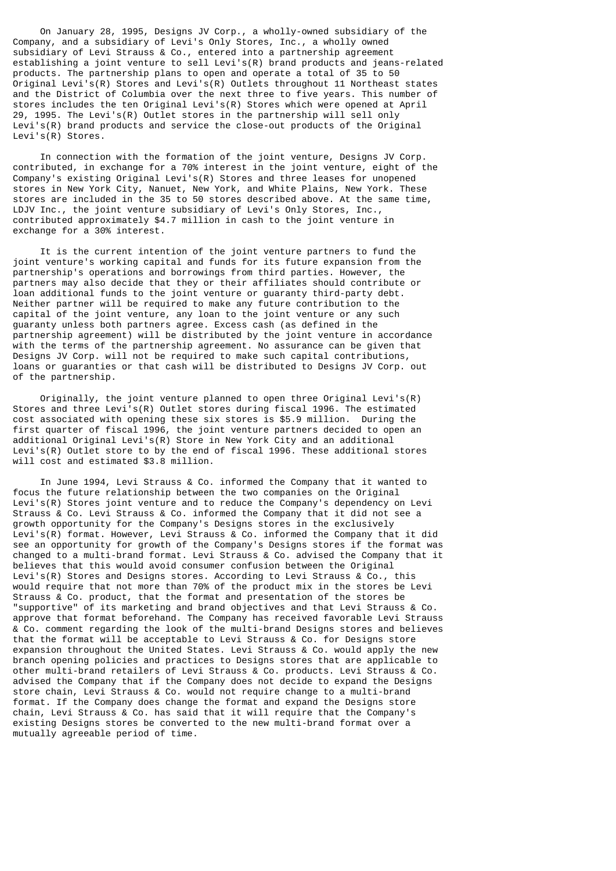On January 28, 1995, Designs JV Corp., a wholly-owned subsidiary of the Company, and a subsidiary of Levi's Only Stores, Inc., a wholly owned subsidiary of Levi Strauss & Co., entered into a partnership agreement establishing a joint venture to sell Levi's(R) brand products and jeans-related products. The partnership plans to open and operate a total of 35 to 50 Original Levi's(R) Stores and Levi's(R) Outlets throughout 11 Northeast states and the District of Columbia over the next three to five years. This number of stores includes the ten Original Levi's(R) Stores which were opened at April 29, 1995. The Levi's(R) Outlet stores in the partnership will sell only Levi's(R) brand products and service the close-out products of the Original Levi's(R) Stores.

 In connection with the formation of the joint venture, Designs JV Corp. contributed, in exchange for a 70% interest in the joint venture, eight of the Company's existing Original Levi's(R) Stores and three leases for unopened stores in New York City, Nanuet, New York, and White Plains, New York. These stores are included in the 35 to 50 stores described above. At the same time, LDJV Inc., the joint venture subsidiary of Levi's Only Stores, Inc., contributed approximately \$4.7 million in cash to the joint venture in exchange for a 30% interest.

 It is the current intention of the joint venture partners to fund the joint venture's working capital and funds for its future expansion from the partnership's operations and borrowings from third parties. However, the partners may also decide that they or their affiliates should contribute or loan additional funds to the joint venture or guaranty third-party debt. Neither partner will be required to make any future contribution to the capital of the joint venture, any loan to the joint venture or any such guaranty unless both partners agree. Excess cash (as defined in the partnership agreement) will be distributed by the joint venture in accordance with the terms of the partnership agreement. No assurance can be given that Designs JV Corp. will not be required to make such capital contributions, loans or guaranties or that cash will be distributed to Designs JV Corp. out of the partnership.

Originally, the joint venture planned to open three Original Levi's(R) Stores and three Levi's(R) Outlet stores during fiscal 1996. The estimated cost associated with opening these six stores is \$5.9 million. During the first quarter of fiscal 1996, the joint venture partners decided to open an additional Original Levi's(R) Store in New York City and an additional Levi's(R) Outlet store to by the end of fiscal 1996. These additional stores will cost and estimated \$3.8 million.

 In June 1994, Levi Strauss & Co. informed the Company that it wanted to focus the future relationship between the two companies on the Original Levi's(R) Stores joint venture and to reduce the Company's dependency on Levi Strauss & Co. Levi Strauss & Co. informed the Company that it did not see a growth opportunity for the Company's Designs stores in the exclusively Levi's(R) format. However, Levi Strauss & Co. informed the Company that it did see an opportunity for growth of the Company's Designs stores if the format was changed to a multi-brand format. Levi Strauss & Co. advised the Company that it believes that this would avoid consumer confusion between the Original Levi's(R) Stores and Designs stores. According to Levi Strauss & Co., this would require that not more than 70% of the product mix in the stores be Levi Strauss & Co. product, that the format and presentation of the stores be "supportive" of its marketing and brand objectives and that Levi Strauss & Co. approve that format beforehand. The Company has received favorable Levi Strauss & Co. comment regarding the look of the multi-brand Designs stores and believes that the format will be acceptable to Levi Strauss & Co. for Designs store expansion throughout the United States. Levi Strauss & Co. would apply the new branch opening policies and practices to Designs stores that are applicable to other multi-brand retailers of Levi Strauss & Co. products. Levi Strauss & Co. advised the Company that if the Company does not decide to expand the Designs store chain, Levi Strauss & Co. would not require change to a multi-brand format. If the Company does change the format and expand the Designs store chain, Levi Strauss & Co. has said that it will require that the Company's existing Designs stores be converted to the new multi-brand format over a mutually agreeable period of time.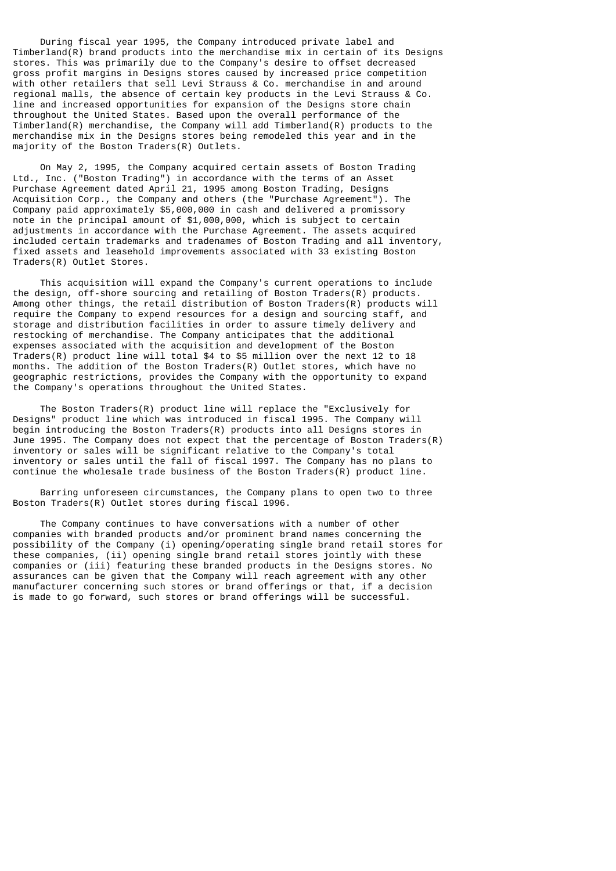During fiscal year 1995, the Company introduced private label and Timberland(R) brand products into the merchandise mix in certain of its Designs stores. This was primarily due to the Company's desire to offset decreased gross profit margins in Designs stores caused by increased price competition with other retailers that sell Levi Strauss & Co. merchandise in and around regional malls, the absence of certain key products in the Levi Strauss & Co. line and increased opportunities for expansion of the Designs store chain throughout the United States. Based upon the overall performance of the  $Timberland(R)$  merchandise, the Company will add  $Timberland(R)$  products to the merchandise mix in the Designs stores being remodeled this year and in the majority of the Boston Traders(R) Outlets.

 On May 2, 1995, the Company acquired certain assets of Boston Trading Ltd., Inc. ("Boston Trading") in accordance with the terms of an Asset Purchase Agreement dated April 21, 1995 among Boston Trading, Designs Acquisition Corp., the Company and others (the "Purchase Agreement"). The Company paid approximately \$5,000,000 in cash and delivered a promissory note in the principal amount of \$1,000,000, which is subject to certain adjustments in accordance with the Purchase Agreement. The assets acquired included certain trademarks and tradenames of Boston Trading and all inventory, fixed assets and leasehold improvements associated with 33 existing Boston Traders(R) Outlet Stores.

 This acquisition will expand the Company's current operations to include the design, off-shore sourcing and retailing of Boston Traders(R) products. Among other things, the retail distribution of Boston Traders(R) products will require the Company to expend resources for a design and sourcing staff, and storage and distribution facilities in order to assure timely delivery and restocking of merchandise. The Company anticipates that the additional expenses associated with the acquisition and development of the Boston Traders(R) product line will total \$4 to \$5 million over the next 12 to 18 months. The addition of the Boston Traders(R) Outlet stores, which have no geographic restrictions, provides the Company with the opportunity to expand the Company's operations throughout the United States.

 The Boston Traders(R) product line will replace the "Exclusively for Designs" product line which was introduced in fiscal 1995. The Company will begin introducing the Boston Traders(R) products into all Designs stores in June 1995. The Company does not expect that the percentage of Boston Traders $(R)$ inventory or sales will be significant relative to the Company's total inventory or sales until the fall of fiscal 1997. The Company has no plans to continue the wholesale trade business of the Boston Traders(R) product line.

 Barring unforeseen circumstances, the Company plans to open two to three Boston Traders(R) Outlet stores during fiscal 1996.

 The Company continues to have conversations with a number of other companies with branded products and/or prominent brand names concerning the possibility of the Company (i) opening/operating single brand retail stores for these companies, (ii) opening single brand retail stores jointly with these companies or (iii) featuring these branded products in the Designs stores. No assurances can be given that the Company will reach agreement with any other manufacturer concerning such stores or brand offerings or that, if a decision is made to go forward, such stores or brand offerings will be successful.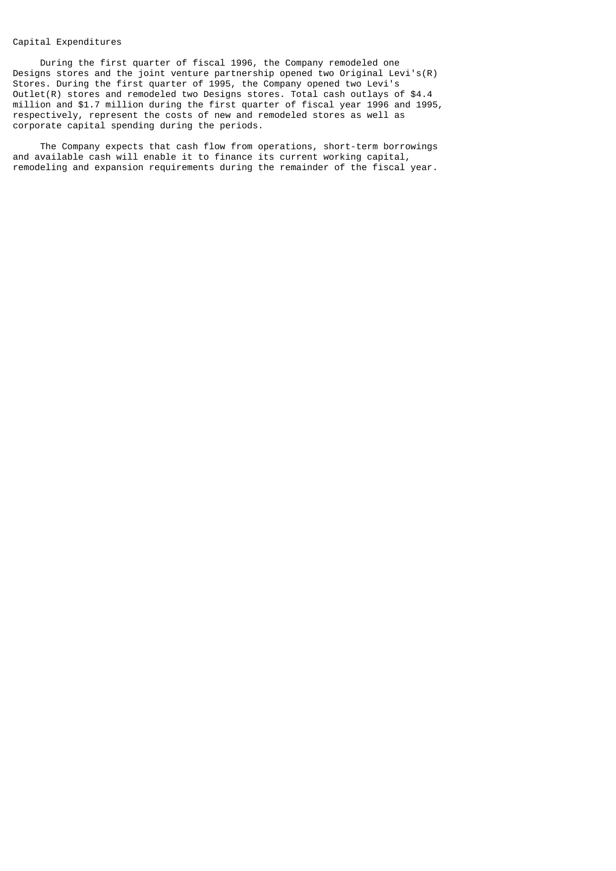## Capital Expenditures

 During the first quarter of fiscal 1996, the Company remodeled one Designs stores and the joint venture partnership opened two Original Levi's(R) Stores. During the first quarter of 1995, the Company opened two Levi's Outlet(R) stores and remodeled two Designs stores. Total cash outlays of \$4.4 million and \$1.7 million during the first quarter of fiscal year 1996 and 1995, respectively, represent the costs of new and remodeled stores as well as corporate capital spending during the periods.

 The Company expects that cash flow from operations, short-term borrowings and available cash will enable it to finance its current working capital, remodeling and expansion requirements during the remainder of the fiscal year.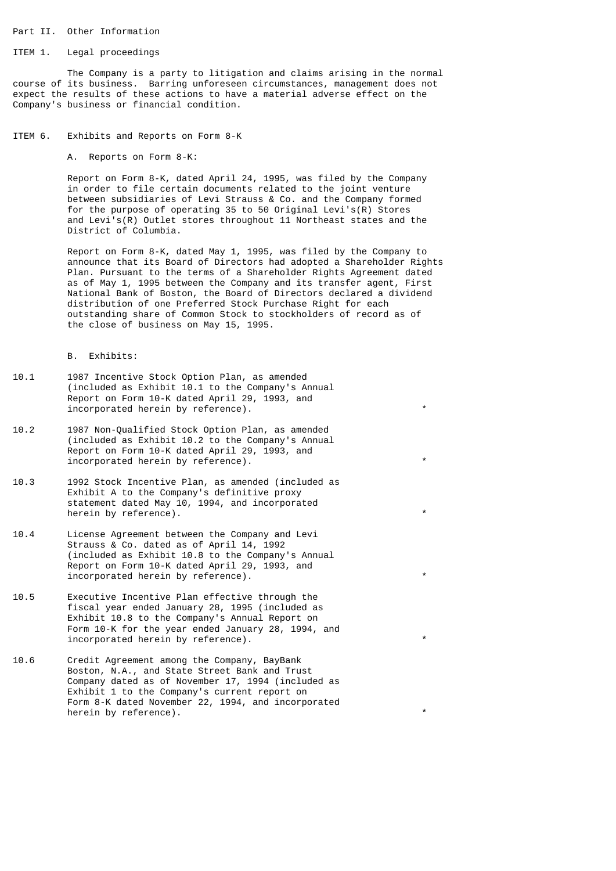### Part II. Other Information

### ITEM 1. Legal proceedings

 The Company is a party to litigation and claims arising in the normal course of its business. Barring unforeseen circumstances, management does not expect the results of these actions to have a material adverse effect on the Company's business or financial condition.

### ITEM 6. Exhibits and Reports on Form 8-K

A. Reports on Form 8-K:

 Report on Form 8-K, dated April 24, 1995, was filed by the Company in order to file certain documents related to the joint venture between subsidiaries of Levi Strauss & Co. and the Company formed for the purpose of operating 35 to 50 Original Levi's(R) Stores and Levi's(R) Outlet stores throughout 11 Northeast states and the District of Columbia.

 Report on Form 8-K, dated May 1, 1995, was filed by the Company to announce that its Board of Directors had adopted a Shareholder Rights Plan. Pursuant to the terms of a Shareholder Rights Agreement dated as of May 1, 1995 between the Company and its transfer agent, First National Bank of Boston, the Board of Directors declared a dividend distribution of one Preferred Stock Purchase Right for each outstanding share of Common Stock to stockholders of record as of the close of business on May 15, 1995.

B. Exhibits:

- 10.1 1987 Incentive Stock Option Plan, as amended (included as Exhibit 10.1 to the Company's Annual Report on Form 10-K dated April 29, 1993, and incorporated herein by reference).
- 10.2 1987 Non-Qualified Stock Option Plan, as amended (included as Exhibit 10.2 to the Company's Annual Report on Form 10-K dated April 29, 1993, and incorporated herein by reference).
- 10.3 1992 Stock Incentive Plan, as amended (included as Exhibit A to the Company's definitive proxy statement dated May 10, 1994, and incorporated herein by reference).
- 10.4 License Agreement between the Company and Levi Strauss & Co. dated as of April 14, 1992 (included as Exhibit 10.8 to the Company's Annual Report on Form 10-K dated April 29, 1993, and incorporated herein by reference).
- 10.5 Executive Incentive Plan effective through the fiscal year ended January 28, 1995 (included as Exhibit 10.8 to the Company's Annual Report on Form 10-K for the year ended January 28, 1994, and incorporated herein by reference). The contract of  $\ast$
- 10.6 Credit Agreement among the Company, BayBank Boston, N.A., and State Street Bank and Trust Company dated as of November 17, 1994 (included as Exhibit 1 to the Company's current report on Form 8-K dated November 22, 1994, and incorporated herein by reference).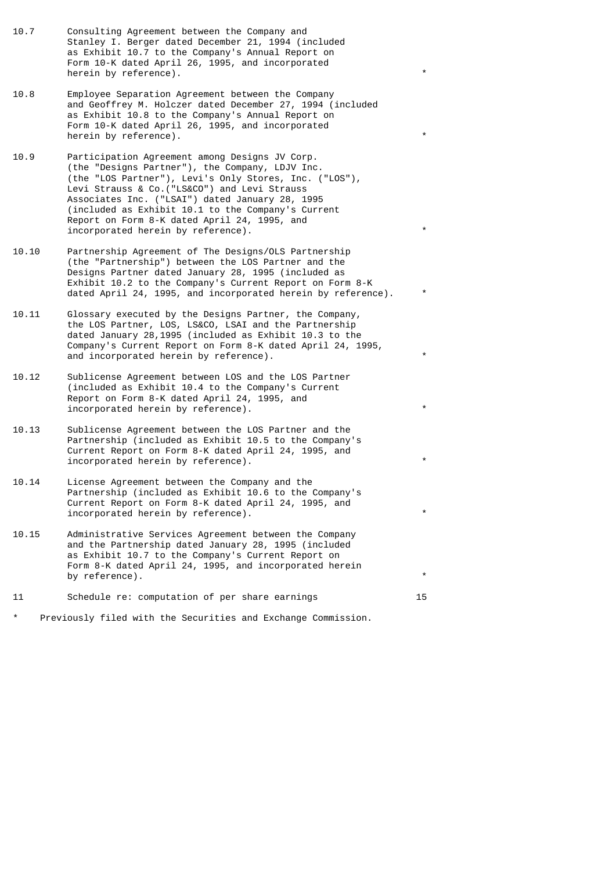- 10.7 Consulting Agreement between the Company and Stanley I. Berger dated December 21, 1994 (included as Exhibit 10.7 to the Company's Annual Report on Form 10-K dated April 26, 1995, and incorporated herein by reference).
- 10.8 Employee Separation Agreement between the Company and Geoffrey M. Holczer dated December 27, 1994 (included as Exhibit 10.8 to the Company's Annual Report on Form 10-K dated April 26, 1995, and incorporated herein by reference).
- 10.9 Participation Agreement among Designs JV Corp. (the "Designs Partner"), the Company, LDJV Inc. (the "LOS Partner"), Levi's Only Stores, Inc. ("LOS"), Levi Strauss & Co.("LS&CO") and Levi Strauss Associates Inc. ("LSAI") dated January 28, 1995 (included as Exhibit 10.1 to the Company's Current Report on Form 8-K dated April 24, 1995, and incorporated herein by reference).
- 10.10 Partnership Agreement of The Designs/OLS Partnership (the "Partnership") between the LOS Partner and the Designs Partner dated January 28, 1995 (included as Exhibit 10.2 to the Company's Current Report on Form 8-K dated April 24, 1995, and incorporated herein by reference).
- 10.11 Glossary executed by the Designs Partner, the Company, the LOS Partner, LOS, LS&CO, LSAI and the Partnership dated January 28,1995 (included as Exhibit 10.3 to the Company's Current Report on Form 8-K dated April 24, 1995, and incorporated herein by reference).
- 10.12 Sublicense Agreement between LOS and the LOS Partner (included as Exhibit 10.4 to the Company's Current Report on Form 8-K dated April 24, 1995, and incorporated herein by reference).
- 10.13 Sublicense Agreement between the LOS Partner and the Partnership (included as Exhibit 10.5 to the Company's Current Report on Form 8-K dated April 24, 1995, and incorporated herein by reference).
- 10.14 License Agreement between the Company and the Partnership (included as Exhibit 10.6 to the Company's Current Report on Form 8-K dated April 24, 1995, and incorporated herein by reference).
- 10.15 Administrative Services Agreement between the Company and the Partnership dated January 28, 1995 (included as Exhibit 10.7 to the Company's Current Report on Form 8-K dated April 24, 1995, and incorporated herein by reference).
- 11 Schedule re: computation of per share earnings 15
- Previously filed with the Securities and Exchange Commission.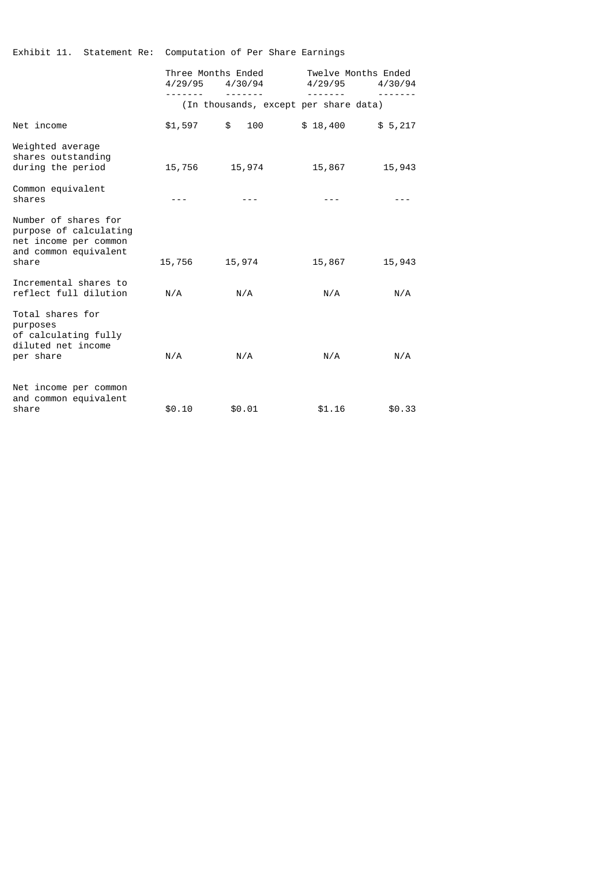|                                                                                                           | Three Months Ended<br>4/29/95<br>4/30/94 |           | Twelve Months Ended<br>4/29/95<br>4/30/94 |         |
|-----------------------------------------------------------------------------------------------------------|------------------------------------------|-----------|-------------------------------------------|---------|
|                                                                                                           | (In thousands, except per share data)    |           |                                           |         |
| Net income                                                                                                | \$1,597                                  | \$<br>100 | \$18,400                                  | \$5,217 |
| Weighted average<br>shares outstanding<br>during the period                                               | 15,756                                   | 15,974    | 15,867                                    | 15,943  |
| Common equivalent<br>shares                                                                               |                                          |           |                                           |         |
| Number of shares for<br>purpose of calculating<br>net income per common<br>and common equivalent<br>share | 15,756                                   | 15,974    | 15,867                                    | 15,943  |
| Incremental shares to<br>reflect full dilution                                                            | N/A                                      | N/A       | N/A                                       | N/A     |
| Total shares for<br>purposes<br>of calculating fully<br>diluted net income<br>per share                   | N/A                                      | N/A       | N/A                                       | N/A     |
| Net income per common<br>and common equivalent<br>share                                                   | \$0.10                                   | \$0.01    | \$1.16                                    | \$0.33  |

Exhibit 11. Statement Re: Computation of Per Share Earnings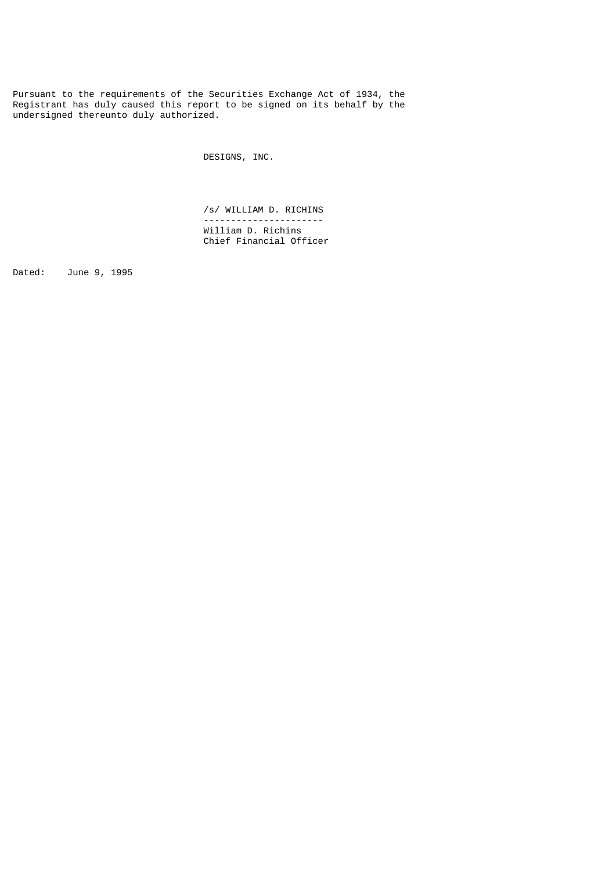Pursuant to the requirements of the Securities Exchange Act of 1934, the Registrant has duly caused this report to be signed on its behalf by the undersigned thereunto duly authorized.

DESIGNS, INC.

 /s/ WILLIAM D. RICHINS ---------------------- William D. Richins Chief Financial Officer

Dated: June 9, 1995